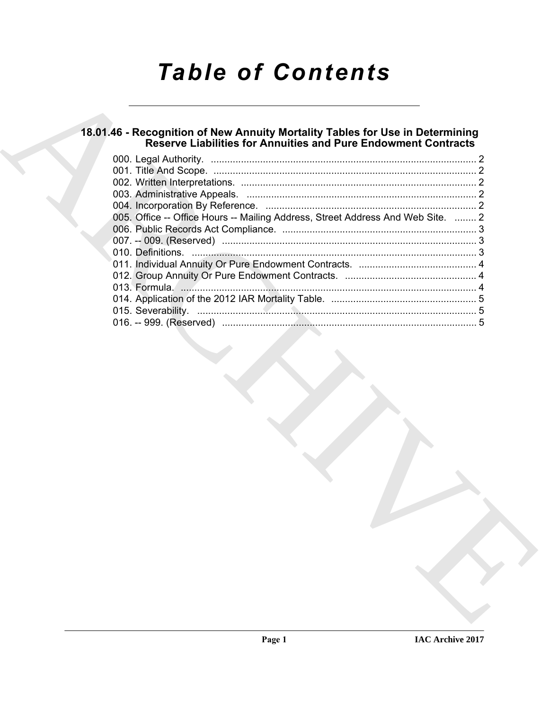# *Table of Contents*

## **18.01.46 - Recognition of New Annuity Mortality Tables for Use in Determining Reserve Liabilities for Annuities and Pure Endowment Contracts**

| 005. Office -- Office Hours -- Mailing Address, Street Address And Web Site.  2 |  |
|---------------------------------------------------------------------------------|--|
|                                                                                 |  |
|                                                                                 |  |
|                                                                                 |  |
|                                                                                 |  |
|                                                                                 |  |
|                                                                                 |  |
|                                                                                 |  |
|                                                                                 |  |
|                                                                                 |  |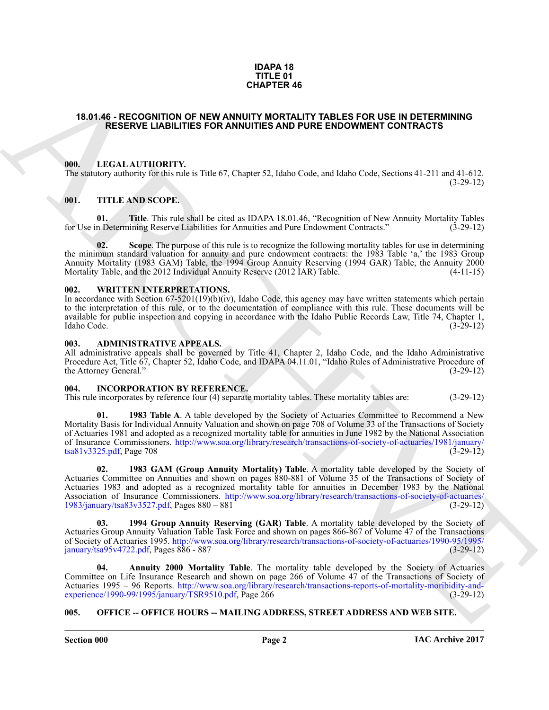### **IDAPA 18 TITLE 01 CHAPTER 46**

### <span id="page-1-0"></span>**18.01.46 - RECOGNITION OF NEW ANNUITY MORTALITY TABLES FOR USE IN DETERMINING RESERVE LIABILITIES FOR ANNUITIES AND PURE ENDOWMENT CONTRACTS**

### <span id="page-1-1"></span>**000. LEGAL AUTHORITY.**

The statutory authority for this rule is Title 67, Chapter 52, Idaho Code, and Idaho Code, Sections 41-211 and 41-612.  $(3-29-12)$ 

### <span id="page-1-7"></span><span id="page-1-2"></span>**001. TITLE AND SCOPE.**

<span id="page-1-9"></span>**01. Title**. This rule shall be cited as IDAPA 18.01.46, "Recognition of New Annuity Mortality Tables n Determining Reserve Liabilities for Annuities and Pure Endowment Contracts." (3-29-12) for Use in Determining Reserve Liabilities for Annuities and Pure Endowment Contracts."

<span id="page-1-8"></span>**02.** Scope. The purpose of this rule is to recognize the following mortality tables for use in determining the minimum standard valuation for annuity and pure endowment contracts: the 1983 Table 'a,' the 1983 Group Annuity Mortality (1983 GAM) Table, the 1994 Group Annuity Reserving (1994 GAR) Table, the Annuity 2000 Mortality Table, and the 2012 Individual Annuity Reserve (2012 IAR) Table.

### <span id="page-1-3"></span>**002. WRITTEN INTERPRETATIONS.**

In accordance with Section 67-5201(19)(b)(iv), Idaho Code, this agency may have written statements which pertain to the interpretation of this rule, or to the documentation of compliance with this rule. These documents will be available for public inspection and copying in accordance with the Idaho Public Records Law, Title 74, Chapter 1, Idaho Code. (3-29-12)

### <span id="page-1-4"></span>**003. ADMINISTRATIVE APPEALS.**

All administrative appeals shall be governed by Title 41, Chapter 2, Idaho Code, and the Idaho Administrative Procedure Act, Title 67, Chapter 52, Idaho Code, and IDAPA 04.11.01, "Idaho Rules of Administrative Procedure of the Attorney General." (3-29-12)

### <span id="page-1-5"></span>**004. INCORPORATION BY REFERENCE.**

This rule incorporates by reference four (4) separate mortality tables. These mortality tables are: (3-29-12)

**1983 Table A.** A table developed by the Society of Actuaries Committee to Recommend a New Mortality Basis for Individual Annuity Valuation and shown on page 708 of Volume 33 of the Transactions of Society of Actuaries 1981 and adopted as a recognized mortality table for annuities in June 1982 by the National Association of Insurance Commissioners. http://www.soa.org/library/research/transactions-of-society-of-actuaries/1981/january/ tsa81v3325.pdf, Page 708 (3-29-12)

**13.9 J.46 - R[E](http://www.soa.org/library/research/transactions-of-society-of-actuaries/1990-95/1995/january/tsa95v4722.pdf)COGNITION OF NEW ANNUITS AND FURE STOR USE IN DETERMINING<br>
13.9 J.46 - RECOGNITION CONTRACT MOTEL INTO THE EMOTION IN CONTRACTS<br>
14.16 - Higher Columbia ContraCt (1985) - 14.16 - 14.16 - 14.16 - 14.16 - 14. 02. 1983 GAM (Group Annuity Mortality) Table**. A mortality table developed by the Society of Actuaries Committee on Annuities and shown on pages 880-881 of Volume 35 of the Transactions of Society of Actuaries 1983 and adopted as a recognized mortality table for annuities in December 1983 by the National Association of Insurance Commissioners. http://www.soa.org/library/research/transactions-of-society-of-actuaries/ 1983/january/tsa83v3527.pdf, Pages 880 – 881 (3-29-12)

**03. 1994 Group Annuity Reserving (GAR) Table**. A mortality table developed by the Society of Actuaries Group Annuity Valuation Table Task Force and shown on pages 866-867 of Volume 47 of the Transactions of Society of Actuaries 1995. http://www.soa.org/library/research/transactions-of-society-of-actuaries/1990-95/1995/ january/tsa $95v4722.pdf$ , Pages  $886 - 887$ 

**04. Annuity 2000 Mortality Table**. The mortality table developed by the Society of Actuaries Committee on Life Insurance Research and shown on page 266 of Volume 47 of the Transactions of Society of Actuaries 1995 – 96 Reports. http://www.soa.org/library/research/transactions-reports-of-mortality-moribidity-and-<br>experience/1990-99/1995/january/TSR9510.pdf, Page 266 (3-29-12) experience/1990-99/1995/january/TSR9510.pdf, Page  $266$ 

### <span id="page-1-6"></span>**005. OFFICE -- OFFICE HOURS -- MAILING ADDRESS, STREET ADDRESS AND WEB SITE.**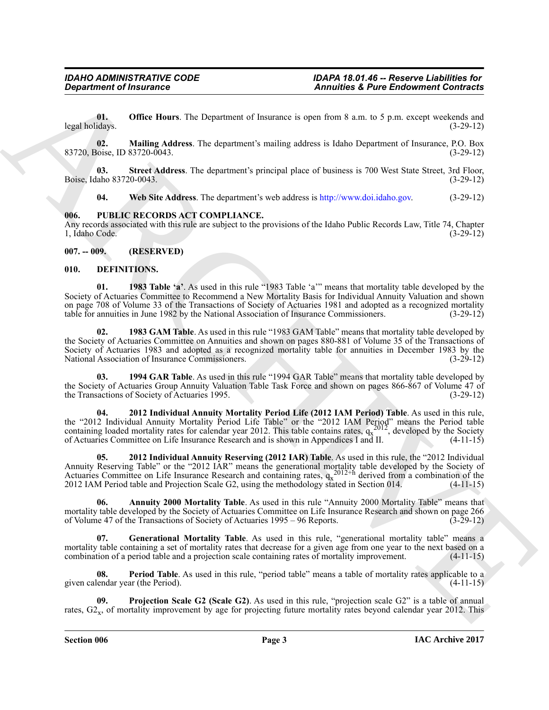**01. Office Hours**. The Department of Insurance is open from 8 a.m. to 5 p.m. except weekends and legal holidays. (3-29-12)

**02. Mailing Address**. The department's mailing address is Idaho Department of Insurance, P.O. Box 83720, Boise, ID 83720-0043. (3-29-12)

**03. Street Address**. The department's principal place of business is 700 West State Street, 3rd Floor, Boise, Idaho 83720-0043. (3-29-12)

**04. Web Site Address**. The department's web address is http://www.doi.idaho.gov. (3-29-12)

### <span id="page-2-0"></span>**006. PUBLIC RECORDS ACT COMPLIANCE.**

Any records associated with this rule are subject to the provisions of the Idaho Public Records Law, Title 74, Chapter 1, Idaho Code. (3-29-12)

### <span id="page-2-1"></span>**007. -- 009. (RESERVED)**

### <span id="page-2-3"></span><span id="page-2-2"></span>**010. DEFINITIONS.**

<span id="page-2-5"></span>**01. 1983 Table 'a'**. As used in this rule "1983 Table 'a'" means that mortality table developed by the Society of Actuaries Committee to Recommend a New Mortality Basis for Individual Annuity Valuation and shown on page 708 of Volume 33 of the Transactions of Society of Actuaries 1981 and adopted as a recognized mortality table for annuities in June 1982 by the National Association of Insurance Commissioners. (3-29-12)

<span id="page-2-4"></span>**02. 1983 GAM Table**. As used in this rule "1983 GAM Table" means that mortality table developed by the Society of Actuaries Committee on Annuities and shown on pages 880-881 of Volume 35 of the Transactions of Society of Actuaries 1983 and adopted as a recognized mortality table for annuities in December 1983 by the National Association of Insurance Commissioners. (3-29-12) National Association of Insurance Commissioners.

<span id="page-2-6"></span>**03. 1994 GAR Table**. As used in this rule "1994 GAR Table" means that mortality table developed by the Society of Actuaries Group Annuity Valuation Table Task Force and shown on pages 866-867 of Volume 47 of the Transactions of Society of Actuaries 1995. (3-29-12) the Transactions of Society of Actuaries 1995.

<span id="page-2-8"></span><span id="page-2-7"></span>**04. 2012 Individual Annuity Mortality Period Life (2012 IAM Period) Table**. As used in this rule, the "2012 Individual Annuity Mortality Period Life Table" or the "2012 IAM Period" means the Period table containing loaded mortality rates for calendar year 2012. This table contains rates,  $q_x^2$ , developed by the Society of Actuaries Committee on Life Insurance Research and is shown in Appendices I and II. (4-11-15)

**Consideration** of fractions  $\overline{ }$ . The Department of Theorem 2 and to the Endowment Confinent Confinent Confident and<br>the Using Office Home, The Department Amendment a spon fixed is an *b* 5 pm, except well and the Hig **05. 2012 Individual Annuity Reserving (2012 IAR) Table**. As used in this rule, the "2012 Individual Annuity Reserving Table" or the "2012 IAR" means the generational mortality table developed by the Society of Actuaries Committee on Life Insurance Research and containing rates,  $q_x^{2012+h}$  derived from a combination of the 2012 IAM Period table and Projection Scale G2, using the methodology stated in Section 014. (4-11-15)

<span id="page-2-9"></span>**06. Annuity 2000 Mortality Table**. As used in this rule "Annuity 2000 Mortality Table" means that mortality table developed by the Society of Actuaries Committee on Life Insurance Research and shown on page 266 of Volume 47 of the Transactions of Society of Actuaries 1995 – 96 Reports. (3-29-12) of Volume 47 of the Transactions of Society of Actuaries 1995 – 96 Reports.

<span id="page-2-10"></span>**07. Generational Mortality Table**. As used in this rule, "generational mortality table" means a mortality table containing a set of mortality rates that decrease for a given age from one year to the next based on a combination of a period table and a projection scale containing rates of mortality improvement. (4-11-1 combination of a period table and a projection scale containing rates of mortality improvement.

<span id="page-2-11"></span>**08.** Period Table. As used in this rule, "period table" means a table of mortality rates applicable to a lendar year (the Period). (4-11-15) given calendar year (the Period).

<span id="page-2-12"></span>**09. Projection Scale G2 (Scale G2)**. As used in this rule, "projection scale G2" is a table of annual rates,  $G_{\text{2x}}$ , of mortality improvement by age for projecting future mortality rates beyond calendar year 2012. This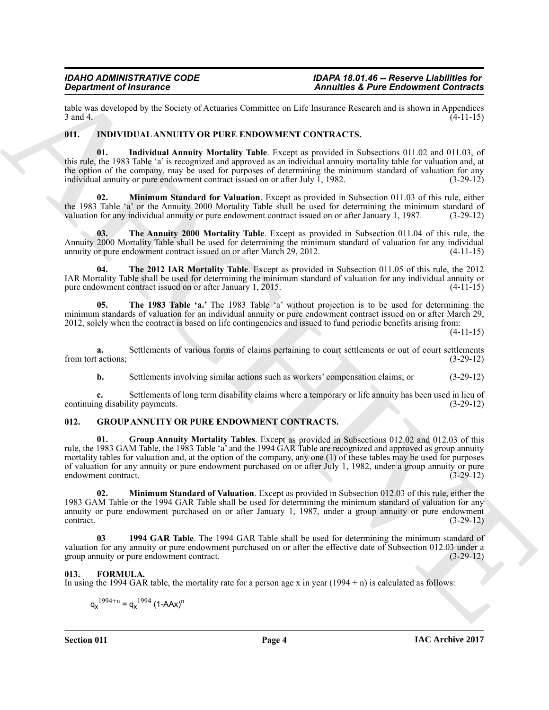table was developed by the Society of Actuaries Committee on Life Insurance Research and is shown in Appendices  $3 \text{ and } 4.$  (4-11-15)

### <span id="page-3-8"></span><span id="page-3-0"></span>**011. INDIVIDUAL ANNUITY OR PURE ENDOWMENT CONTRACTS.**

<span id="page-3-9"></span>**01. Individual Annuity Mortality Table**. Except as provided in Subsections 011.02 and 011.03, of this rule, the 1983 Table 'a' is recognized and approved as an individual annuity mortality table for valuation and, at the option of the company, may be used for purposes of determining the minimum standard of valuation for any individual annuity or pure endowment contract issued on or after July 1, 1982. (3-29-12)

<span id="page-3-10"></span>**02. Minimum Standard for Valuation**. Except as provided in Subsection 011.03 of this rule, either the 1983 Table 'a' or the Annuity 2000 Mortality Table shall be used for determining the minimum standard of valuation for any individual annuity or pure endowment contract issued on or after January 1, 1987. (3-29-12) valuation for any individual annuity or pure endowment contract issued on or after January 1, 1987.

<span id="page-3-13"></span>**03. The Annuity 2000 Mortality Table**. Except as provided in Subsection 011.04 of this rule, the Annuity 2000 Mortality Table shall be used for determining the minimum standard of valuation for any individual annuity or pure endowment contract issued on or after March 29, 2012. (4-11-15) annuity or pure endowment contract issued on or after March 29, 2012.

<span id="page-3-12"></span>**04. The 2012 IAR Mortality Table**. Except as provided in Subsection 011.05 of this rule, the 2012 IAR Mortality Table shall be used for determining the minimum standard of valuation for any individual annuity or pure endowment contract issued on or after January 1, 2015.

<span id="page-3-11"></span>**05. The 1983 Table 'a.'** The 1983 Table 'a' without projection is to be used for determining the minimum standards of valuation for an individual annuity or pure endowment contract issued on or after March 29, 2012, solely when the contract is based on life contingencies and issued to fund periodic benefits arising from:

 $(4-11-15)$ 

**a.** Settlements of various forms of claims pertaining to court settlements or out of court settlements (3-29-12) from tort actions;

<span id="page-3-6"></span>**b.** Settlements involving similar actions such as workers' compensation claims; or  $(3-29-12)$ 

**c.** Settlements of long term disability claims where a temporary or life annuity has been used in lieu of ang disability payments. (3-29-12) continuing disability payments.

### <span id="page-3-4"></span><span id="page-3-1"></span>**012. GROUP ANNUITY OR PURE ENDOWMENT CONTRACTS.**

**Contrast of Franconic Systems** Tandamics Commute on Let Ensure a contrast a since the System of Apple 11.<br>
And the System ARCHIVE CONTRACTS.<br>
The Contrast of the System ARCHIVE CONTRACTS (and the System ARCHIVE CONTRACTS **01. Group Annuity Mortality Tables**. Except as provided in Subsections 012.02 and 012.03 of this rule, the 1983 GAM Table, the 1983 Table 'a' and the 1994 GAR Table are recognized and approved as group annuity mortality tables for valuation and, at the option of the company, any one (1) of these tables may be used for purposes of valuation for any annuity or pure endowment purchased on or after July 1, 1982, under a group annuity or pure endowment contract. (3-29-12) endowment contract.

<span id="page-3-7"></span>**02. Minimum Standard of Valuation**. Except as provided in Subsection 012.03 of this rule, either the 1983 GAM Table or the 1994 GAR Table shall be used for determining the minimum standard of valuation for any annuity or pure endowment purchased on or after January 1, 1987, under a group annuity or pure endowment contract.<br>(3-29-12)  $\text{contract.}$  (3-29-12)

<span id="page-3-5"></span>**03 1994 GAR Table**. The 1994 GAR Table shall be used for determining the minimum standard of valuation for any annuity or pure endowment purchased on or after the effective date of Subsection 012.03 under a group annuity or pure endowment contract. group annuity or pure endowment contract.

### <span id="page-3-3"></span><span id="page-3-2"></span>**013. FORMULA.**

In using the 1994 GAR table, the mortality rate for a person age x in year  $(1994 + n)$  is calculated as follows:

$$
q_x^{1994+n} = q_x^{1994} (1 - AAx)^n
$$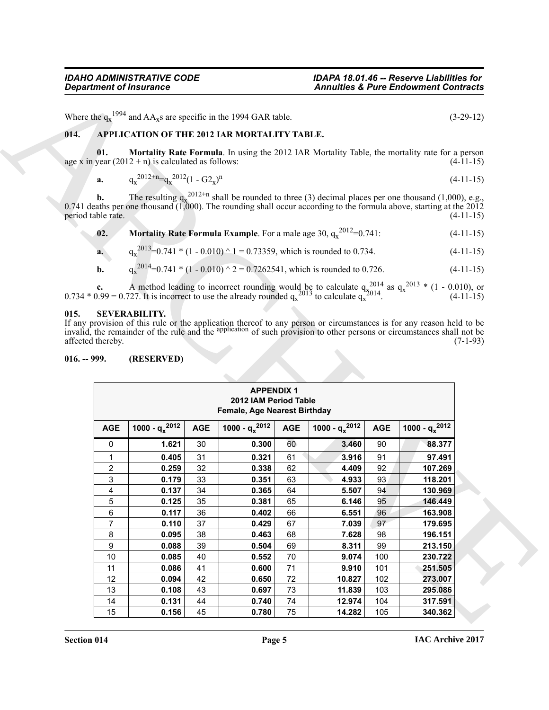### <span id="page-4-3"></span><span id="page-4-0"></span>**014. APPLICATION OF THE 2012 IAR MORTALITY TABLE.**

<span id="page-4-4"></span>
$$
a. \tq_{x}^{2012+n} = q_{x}^{2012} (1 - G2_{x})^{n}
$$
\t(4-11-15)

<span id="page-4-5"></span>**a.** 
$$
q_x^{2013} = 0.741 \cdot (1 - 0.010) \cdot 1 = 0.73359
$$
, which is rounded to 0.734. (4-11-15)

**b.** 
$$
q_x^{2014} = 0.741 \cdot (1 - 0.010) \cdot 2 = 0.7262541
$$
, which is rounded to 0.726. (4-11-15)

### <span id="page-4-2"></span><span id="page-4-1"></span>**015. SEVERABILITY.**

|                                    |                | <b>Department of Insurance</b>                       |            |                                                                                  |            | <b>Annuities &amp; Pure Endowment Contracts</b>                                   |            |                                                                                                                                                                                                                                                     |
|------------------------------------|----------------|------------------------------------------------------|------------|----------------------------------------------------------------------------------|------------|-----------------------------------------------------------------------------------|------------|-----------------------------------------------------------------------------------------------------------------------------------------------------------------------------------------------------------------------------------------------------|
|                                    |                |                                                      |            | Where the $q_x^{1994}$ and AA <sub>x</sub> s are specific in the 1994 GAR table. |            |                                                                                   |            | $(3-29-12)$                                                                                                                                                                                                                                         |
| 014.                               |                |                                                      |            | APPLICATION OF THE 2012 IAR MORTALITY TABLE.                                     |            |                                                                                   |            |                                                                                                                                                                                                                                                     |
|                                    | 01.            | age x in year $(2012 + n)$ is calculated as follows: |            |                                                                                  |            |                                                                                   |            | Mortality Rate Formula. In using the 2012 IAR Mortality Table, the mortality rate for a person<br>$(4-11-15)$                                                                                                                                       |
|                                    | a.             | $q_x^{2012+n} = q_x^{2012} (1 - G2_x)^n$             |            |                                                                                  |            |                                                                                   |            | $(4-11-15)$                                                                                                                                                                                                                                         |
|                                    |                |                                                      |            |                                                                                  |            |                                                                                   |            |                                                                                                                                                                                                                                                     |
| period table rate.                 | b.             |                                                      |            |                                                                                  |            |                                                                                   |            | The resulting $q_x^{2012+n}$ shall be rounded to three (3) decimal places per one thousand (1,000), e.g.,<br>0.741 deaths per one thousand $(1,000)$ . The rounding shall occur according to the formula above, starting at the 2012<br>$(4-11-15)$ |
|                                    | 02.            |                                                      |            |                                                                                  |            | <b>Mortality Rate Formula Example</b> . For a male age 30, $q_x^{2012} = 0.741$ . |            | $(4-11-15)$                                                                                                                                                                                                                                         |
|                                    | a.             |                                                      |            |                                                                                  |            | $q_x^{2013}$ =0.741 * (1 - 0.010) ^ 1 = 0.73359, which is rounded to 0.734.       |            | $(4-11-15)$                                                                                                                                                                                                                                         |
|                                    | b.             |                                                      |            |                                                                                  |            | $q_x^{2014}$ =0.741 * (1 - 0.010) ^ 2 = 0.7262541, which is rounded to 0.726.     |            |                                                                                                                                                                                                                                                     |
|                                    |                |                                                      |            |                                                                                  |            |                                                                                   |            | $(4-11-15)$                                                                                                                                                                                                                                         |
|                                    |                |                                                      |            |                                                                                  |            |                                                                                   |            | <b>c.</b> A method leading to incorrect rounding would be to calculate $q_x^{2014}$ as $q_x^{2013}$ * (1 - 0.010), or 0.734 * 0.99 = 0.727. It is incorrect to use the already rounded $q_x^{2013}$ to calculate $q_x^{2014}$ . (4-11-15)           |
| affected thereby.<br>$016. - 999.$ |                | (RESERVED)                                           |            |                                                                                  |            |                                                                                   |            | If any provision of this rule or the application thereof to any person or circumstances is for any reason held to be invalid, the remainder of the rule and the application of such provision to other persons or circumstance<br>$(7-1-93)$        |
|                                    |                |                                                      |            | <b>APPENDIX 1</b><br>2012 IAM Period Table                                       |            |                                                                                   |            |                                                                                                                                                                                                                                                     |
|                                    | <b>AGE</b>     | 1000 - $q_x^{2012}$                                  | <b>AGE</b> | Female, Age Nearest Birthday<br>1000 - $q_x^{2012}$                              | <b>AGE</b> | 1000 - $q_x^{2012}$                                                               | <b>AGE</b> | 1000 - $q_x^{2012}$                                                                                                                                                                                                                                 |
|                                    | 0              | 1.621                                                | 30         | 0.300                                                                            | 60         | 3.460                                                                             | 90         | 88.377                                                                                                                                                                                                                                              |
|                                    | 1              | 0.405                                                | 31         | 0.321                                                                            | 61         | 3.916                                                                             | 91         | 97.491                                                                                                                                                                                                                                              |
|                                    | 2              | 0.259                                                | 32         | 0.338                                                                            | 62         | 4.409                                                                             | 92         | 107.269                                                                                                                                                                                                                                             |
|                                    | 3              | 0.179                                                | 33         | 0.351                                                                            | 63         | 4.933                                                                             | 93         | 118.201                                                                                                                                                                                                                                             |
|                                    | 4              | 0.137                                                | 34         | 0.365                                                                            | 64         | 5.507                                                                             | 94         | 130.969                                                                                                                                                                                                                                             |
|                                    | 5              | 0.125                                                | 35         | 0.381                                                                            | 65         | 6.146                                                                             | 95         | 146.449                                                                                                                                                                                                                                             |
|                                    | $\,6\,$        | 0.117                                                | 36         | 0.402                                                                            | 66         | 6.551                                                                             | 96         | 163.908                                                                                                                                                                                                                                             |
|                                    | $\overline{7}$ | 0.110                                                | 37         | 0.429                                                                            | 67         | 7.039                                                                             | 97         | 179.695                                                                                                                                                                                                                                             |
|                                    | 8              | 0.095                                                | 38         | 0.463                                                                            | 68         | 7.628                                                                             | 98         | 196.151                                                                                                                                                                                                                                             |
|                                    | 9              | 0.088                                                | 39         | 0.504                                                                            | 69         | 8.311                                                                             | 99         | 213.150                                                                                                                                                                                                                                             |
|                                    | 10             | 0.085                                                | 40         | 0.552                                                                            | 70         | 9.074                                                                             | 100        | 230.722                                                                                                                                                                                                                                             |
|                                    | 11             | 0.086                                                | 41         | 0.600                                                                            | $71$       | 9.910                                                                             | 101        | 251.505                                                                                                                                                                                                                                             |
|                                    | 12             | 0.094                                                | 42         | 0.650                                                                            | 72         | 10.827                                                                            | 102        | 273.007                                                                                                                                                                                                                                             |
|                                    | 13             | 0.108                                                | 43         | 0.697                                                                            | 73         | 11.839                                                                            | 103        | 295.086                                                                                                                                                                                                                                             |
|                                    | 14<br>15       | 0.131<br>0.156                                       | 44<br>45   | 0.740<br>0.780                                                                   | 74<br>75   | 12.974<br>14.282                                                                  | 104<br>105 | 317.591<br>340.362                                                                                                                                                                                                                                  |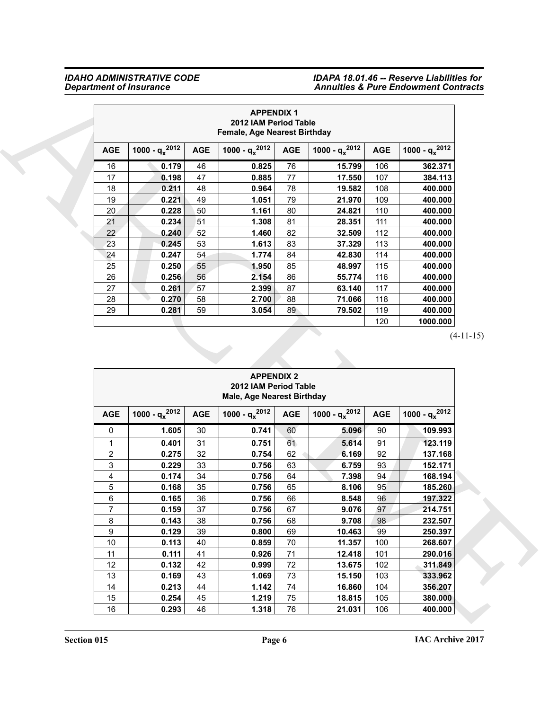|                 |                     |            | <b>APPENDIX 1</b><br>2012 IAM Period Table<br><b>Female, Age Nearest Birthday</b> |            |                     |            |                     |
|-----------------|---------------------|------------|-----------------------------------------------------------------------------------|------------|---------------------|------------|---------------------|
| <b>AGE</b>      | 1000 - $q_x^{2012}$ | <b>AGE</b> | 1000 - $q_x^{2012}$                                                               | <b>AGE</b> | 1000 - $q_x^{2012}$ | <b>AGE</b> | 1000 - $q_x^{2012}$ |
| 16              | 0.179               | 46         | 0.825                                                                             | 76         | 15.799              | 106        | 362.371             |
| 17              | 0.198               | 47         | 0.885                                                                             | 77         | 17.550              | 107        | 384.113             |
| 18              | 0.211               | 48         | 0.964                                                                             | 78         | 19.582              | 108        | 400.000             |
| 19              | 0.221               | 49         | 1.051                                                                             | 79         | 21.970              | 109        | 400.000             |
| 20              | 0.228               | 50         | 1.161                                                                             | 80         | 24.821              | 110        | 400.000             |
| 21              | 0.234               | 51         | 1.308                                                                             | 81         | 28.351              | 111        | 400.000             |
| 22 <sub>2</sub> | 0.240               | 52         | 1.460                                                                             | 82         | 32.509              | 112        | 400.000             |
| 23              | 0.245               | 53         | 1.613                                                                             | 83         | 37.329              | 113        | 400.000             |
| 24              | 0.247               | 54         | 1.774                                                                             | 84         | 42.830              | 114        | 400.000             |
| 25              | 0.250               | 55         | 1.950                                                                             | 85         | 48.997              | 115        | 400.000             |
| 26              | 0.256               | 56         | 2.154                                                                             | 86         | 55.774              | 116        | 400.000             |
| 27              | 0.261               | 57         | 2.399                                                                             | 87         | 63.140              | 117        | 400.000             |
| 28              | 0.270               | 58         | 2.700                                                                             | 88         | 71.066              | 118        | 400.000             |
| 29              | 0.281               | 59         | 3.054                                                                             | 89         | 79.502              | 119        | 400.000             |
|                 |                     |            |                                                                                   |            |                     | 120        | 1000.000            |

|                         |                     |            | <b>APPENDIX 1</b><br>2012 IAM Period Table<br>Female, Age Nearest Birthday      |            |                     |            |                     |
|-------------------------|---------------------|------------|---------------------------------------------------------------------------------|------------|---------------------|------------|---------------------|
| <b>AGE</b>              | 1000 - $q_x^{2012}$ | <b>AGE</b> | 1000 - $q_x^{2012}$                                                             | <b>AGE</b> | 1000 - $q_x^{2012}$ | <b>AGE</b> | 1000 - $q_x^{2012}$ |
| 16                      | 0.179               | 46         | 0.825                                                                           | 76         | 15.799              | 106        | 362.371             |
| 17                      | 0.198               | 47         | 0.885                                                                           | 77         | 17.550              | 107        | 384.113             |
| 18                      | 0.211               | 48         | 0.964                                                                           | 78         | 19.582              | 108        | 400.000             |
| 19                      | 0.221               | 49         | 1.051                                                                           | 79         | 21.970              | 109        | 400.000             |
| 20                      | 0.228               | 50         | 1.161                                                                           | 80         | 24.821              | 110        | 400.000             |
| 21                      | 0.234               | 51         | 1.308                                                                           | 81         | 28.351              | 111        | 400.000             |
| 22                      | 0.240               | 52         | 1.460                                                                           | 82         | 32.509              | 112        | 400.000             |
| 23                      | 0.245               | 53         | 1.613                                                                           | 83         | 37.329              | 113        | 400.000             |
| 24                      | 0.247               | 54         | 1.774                                                                           | 84         | 42.830              | 114        | 400.000             |
| 25                      | 0.250               | 55         | 1.950                                                                           | 85         | 48.997              | 115        | 400.000             |
| 26                      | 0.256               | 56         | 2.154                                                                           | 86         | 55.774              | 116        | 400.000             |
| 27                      | 0.261               | 57         | 2.399                                                                           | 87         | 63.140              | 117        | 400.000             |
| 28                      | 0.270               | 58         | 2.700                                                                           | 88         | 71.066              | 118        | 400.000             |
| 29                      | 0.281               | 59         | 3.054                                                                           | 89         | 79.502              | 119        | 400.000             |
|                         |                     |            |                                                                                 |            |                     | 120        | 1000.000            |
|                         |                     |            |                                                                                 |            |                     |            | $(4-11-15)$         |
|                         |                     |            | <b>APPENDIX 2</b><br>2012 IAM Period Table<br><b>Male, Age Nearest Birthday</b> |            |                     |            |                     |
| <b>AGE</b>              | 1000 - $q_x^{2012}$ | <b>AGE</b> | 1000 - $q_x^{2012}$                                                             | <b>AGE</b> | 1000 - $q_x^{2012}$ | <b>AGE</b> | 1000 - $q_x^{2012}$ |
| 0                       | 1.605               | 30         | 0.741                                                                           | 60         | 5.096               | 90         | 109.993             |
| 1                       | 0.401               | 31         | 0.751                                                                           | 61         | 5.614               | 91         | 123.119             |
| $\overline{\mathbf{c}}$ | 0.275               | 32         | 0.754                                                                           | 62         | 6.169               | 92         | 137.168             |
| 3                       | 0.229               | 33         | 0.756                                                                           | 63         | 6.759               | 93         | 152.171             |
| 4                       | 0.174               | 34         | 0.756                                                                           | 64         | 7.398               | 94         | 168.194             |
| 5                       | 0.168               | 35         | 0.756                                                                           | 65         | 8.106               | 95         | 185.260             |
| 6                       | 0.165               | 36         | 0.756                                                                           | 66         | 8.548               | 96         | 197.322             |
| $\overline{7}$          | 0.159               | 37         | 0.756                                                                           | 67         | 9.076               | 97         | 214.751             |
| 8                       | 0.143               | 38         | 0.756                                                                           | 68         | 9.708               | 98         | 232.507             |
| 9                       | 0.129               | 39         | 0.800                                                                           | 69         | 10.463              | 99         | 250.397             |
| 10                      | 0.113               | 40         | 0.859                                                                           | 70         | 11.357              | 100        | 268.607             |
| 11                      | 0.111               | 41         | 0.926                                                                           | 71         | 12.418              | 101        | 290.016             |
| 12                      | 0.132               | 42         | 0.999                                                                           | $72\,$     | 13.675              | 102        | 311.849             |
| 13                      | 0.169               | 43         | 1.069                                                                           | $73\,$     | 15.150              | 103        | 333.962             |
| 14<br>15                | 0.213<br>0.254      | 44<br>45   | 1.142<br>1.219                                                                  | 74<br>75   | 16.860<br>18.815    | 104<br>105 | 356.207<br>380.000  |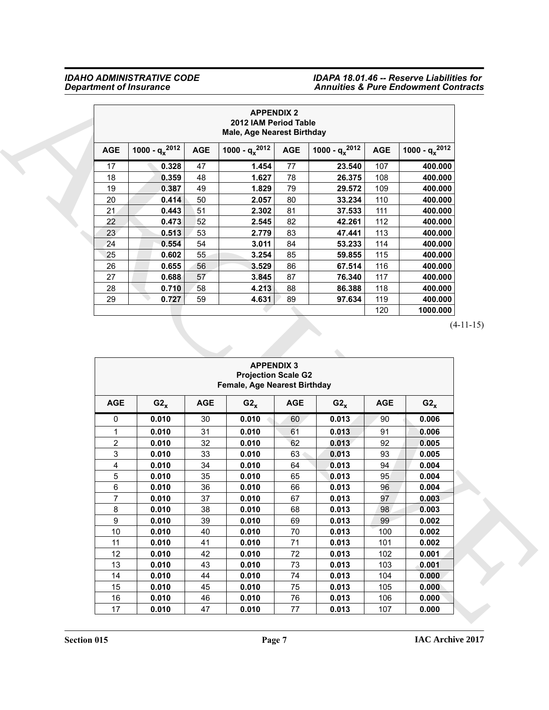|            |                     |            | <b>APPENDIX 2</b><br>2012 IAM Period Table<br>Male, Age Nearest Birthday |            |                     |            |                     |
|------------|---------------------|------------|--------------------------------------------------------------------------|------------|---------------------|------------|---------------------|
| <b>AGE</b> | 1000 - $q_x^{2012}$ | <b>AGE</b> | 1000 - $q_x^{2012}$                                                      | <b>AGE</b> | 1000 - $q_x^{2012}$ | <b>AGE</b> | 1000 - $q_x^{2012}$ |
| 17         | 0.328               | 47         | 1.454                                                                    | 77         | 23.540              | 107        | 400.000             |
| 18         | 0.359               | 48         | 1.627                                                                    | 78         | 26.375              | 108        | 400.000             |
| 19         | 0.387               | 49         | 1.829                                                                    | 79         | 29.572              | 109        | 400.000             |
| 20         | 0.414               | 50         | 2.057                                                                    | 80         | 33.234              | 110        | 400.000             |
| 21         | 0.443               | 51         | 2.302                                                                    | 81         | 37.533              | 111        | 400.000             |
| 22         | 0.473               | 52         | 2.545                                                                    | 82         | 42.261              | 112        | 400.000             |
| 23         | 0.513               | 53         | 2.779                                                                    | 83         | 47.441              | 113        | 400.000             |
| 24         | 0.554               | 54         | 3.011                                                                    | 84         | 53.233              | 114        | 400.000             |
| 25         | 0.602               | 55         | 3.254                                                                    | 85         | 59.855              | 115        | 400.000             |
| 26         | 0.655               | 56         | 3.529                                                                    | 86         | 67.514              | 116        | 400.000             |
| 27         | 0.688               | 57         | 3.845                                                                    | 87         | 76.340              | 117        | 400.000             |
| 28         | 0.710               | 58         | 4.213                                                                    | 88         | 86.388              | 118        | 400.000             |
| 29         | 0.727               | 59         | 4.631                                                                    | 89         | 97.634              | 119        | 400.000             |
|            |                     |            |                                                                          |            |                     | 120        | 1000.000            |

|                         |                     |            | <b>APPENDIX 2</b><br>2012 IAM Period Table<br><b>Male, Age Nearest Birthday</b> |            |                     |            |                     |
|-------------------------|---------------------|------------|---------------------------------------------------------------------------------|------------|---------------------|------------|---------------------|
| <b>AGE</b>              | 1000 - $q_x^{2012}$ | <b>AGE</b> | 1000 - $q_x^{2012}$                                                             | <b>AGE</b> | 1000 - $q_x^{2012}$ | <b>AGE</b> | 1000 - $q_x^{2012}$ |
| 17                      | 0.328               | 47         | 1.454                                                                           | 77         | 23.540              | 107        | 400.000             |
| 18                      | 0.359               | 48         | 1.627                                                                           | 78         | 26.375              | 108        | 400.000             |
| 19                      | 0.387               | 49         | 1.829                                                                           | 79         | 29.572              | 109        | 400.000             |
| 20                      | 0.414               | 50         | 2.057                                                                           | 80         | 33.234              | 110        | 400.000             |
| 21                      | 0.443               | 51         | 2.302                                                                           | 81         | 37.533              | 111        | 400.000             |
| 22                      | 0.473               | 52         | 2.545                                                                           | 82         | 42.261              | 112        | 400.000             |
| 23                      | 0.513               | 53         | 2.779                                                                           | 83         | 47.441              | 113        | 400.000             |
| 24                      | 0.554               | 54         | 3.011                                                                           | 84         | 53.233              | 114        | 400.000             |
| 25                      | 0.602               | 55         | 3.254                                                                           | 85         | 59.855              | 115        | 400.000             |
| 26                      | 0.655               | 56         | 3.529                                                                           | 86         | 67.514              | 116        | 400.000             |
| 27                      | 0.688               | 57         | 3.845                                                                           | 87         | 76.340              | 117        | 400.000             |
| 28                      | 0.710               | 58         | 4.213                                                                           | 88         | 86.388              | 118        | 400.000             |
| 29                      | 0.727               | 59         | 4.631                                                                           | 89         | 97.634              | 119        | 400.000             |
|                         |                     |            |                                                                                 |            |                     | 120        | 1000.000            |
|                         |                     |            | <b>APPENDIX 3</b>                                                               |            |                     |            | $(4-11-15)$         |
|                         |                     |            | <b>Projection Scale G2</b><br>Female, Age Nearest Birthday                      |            |                     |            |                     |
| <b>AGE</b>              | $G2_{x}$            | <b>AGE</b> | $G2_{x}$                                                                        | <b>AGE</b> | $G2_{x}$            | <b>AGE</b> | $G2_{x}$            |
| 0                       | 0.010               | 30         | 0.010                                                                           | 60         | 0.013               | 90         | 0.006               |
| 1                       | 0.010               | 31         | 0.010                                                                           | 61         | 0.013               | 91         | 0.006               |
| $\overline{\mathbf{c}}$ | 0.010               | 32         | 0.010                                                                           | 62         | 0.013               | 92         | 0.005               |
| 3                       | 0.010               | 33         | 0.010                                                                           | 63         | 0.013               | 93         | 0.005               |
| 4                       | 0.010               | 34         | 0.010                                                                           | 64         | 0.013               | 94         | 0.004               |
| 5                       | 0.010               | 35         | 0.010                                                                           | 65         | 0.013               | 95         | 0.004               |
| 6                       | 0.010               | 36         | 0.010                                                                           | 66         | 0.013               | 96         | 0.004               |
| $\overline{7}$          | 0.010               | 37         | 0.010                                                                           | 67         | 0.013               | 97         | 0.003               |
| 8                       | 0.010               | 38         | 0.010                                                                           | 68         | 0.013               | 98         | 0.003               |
| 9                       | 0.010               | 39         | 0.010                                                                           | 69         | 0.013               | 99         | 0.002               |
| $10$                    | 0.010               | 40         | 0.010                                                                           | 70         | 0.013               | 100        | 0.002               |
| 11                      | 0.010               | 41         | 0.010                                                                           | 71         | 0.013               | 101        | 0.002               |
| 12                      | 0.010               | 42         | 0.010                                                                           | 72         | 0.013               | 102        | 0.001               |
| 13                      | 0.010               | 43         | 0.010                                                                           | 73         | 0.013               | 103        | 0.001               |
| $14$                    | 0.010               | 44         | 0.010                                                                           | 74         | 0.013               | 104        | 0.000               |
| 15<br>16                | 0.010<br>0.010      | 45<br>46   | 0.010<br>0.010                                                                  | 75<br>76   | 0.013<br>0.013      | 105<br>106 | 0.000<br>0.000      |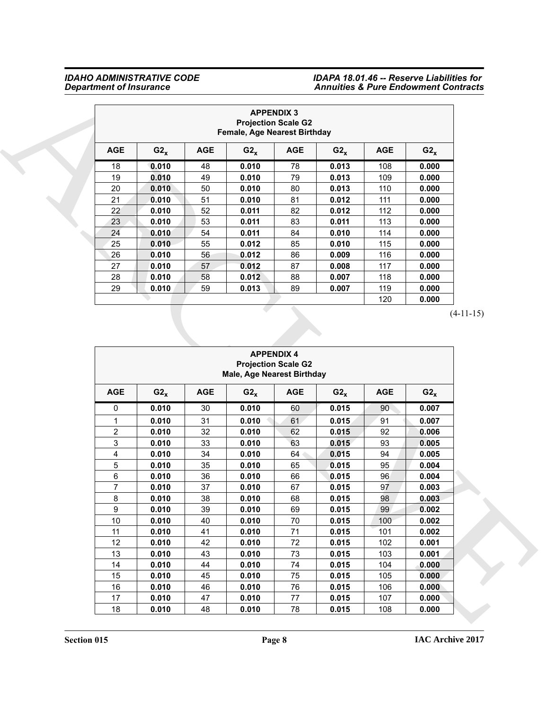|            |          |            | Female, Age Nearest Birthday | <b>APPENDIX 3</b><br><b>Projection Scale G2</b> |          |            |          |
|------------|----------|------------|------------------------------|-------------------------------------------------|----------|------------|----------|
| <b>AGE</b> | $G2_{x}$ | <b>AGE</b> | $G2_x$                       | <b>AGE</b>                                      | $G2_{x}$ | <b>AGE</b> | $G2_{x}$ |
| 18         | 0.010    | 48         | 0.010                        | 78                                              | 0.013    | 108        | 0.000    |
| 19         | 0.010    | 49         | 0.010                        | 79                                              | 0.013    | 109        | 0.000    |
| 20         | 0.010    | 50         | 0.010                        | 80                                              | 0.013    | 110        | 0.000    |
| 21         | 0.010    | 51         | 0.010                        | 81                                              | 0.012    | 111        | 0.000    |
| 22         | 0.010    | 52         | 0.011                        | 82                                              | 0.012    | 112        | 0.000    |
| 23         | 0.010    | 53         | 0.011                        | 83                                              | 0.011    | 113        | 0.000    |
| 24         | 0.010    | 54         | 0.011                        | 84                                              | 0.010    | 114        | 0.000    |
| 25         | 0.010    | 55         | 0.012                        | 85                                              | 0.010    | 115        | 0.000    |
| 26         | 0.010    | 56         | 0.012                        | 86                                              | 0.009    | 116        | 0.000    |
| 27         | 0.010    | 57         | 0.012                        | 87                                              | 0.008    | 117        | 0.000    |
| 28         | 0.010    | 58         | 0.012                        | 88                                              | 0.007    | 118        | 0.000    |
| 29         | 0.010    | 59         | 0.013                        | 89                                              | 0.007    | 119        | 0.000    |
|            |          |            |                              |                                                 |          | 120        | 0.000    |

|                         |                |            |                                   | <b>APPENDIX 3</b>          |                |            |                |
|-------------------------|----------------|------------|-----------------------------------|----------------------------|----------------|------------|----------------|
|                         |                |            |                                   | <b>Projection Scale G2</b> |                |            |                |
|                         |                |            | Female, Age Nearest Birthday      |                            |                |            |                |
| <b>AGE</b>              | $G2_{x}$       | <b>AGE</b> | $G2_{x}$                          | <b>AGE</b>                 | $G2_{x}$       | <b>AGE</b> | $G2_{x}$       |
| 18                      | 0.010          | 48         | 0.010                             | 78                         | 0.013          | 108        | 0.000          |
| 19                      | 0.010          | 49         | 0.010                             | 79                         | 0.013          | 109        | 0.000          |
| 20                      | 0.010          | 50         | 0.010                             | 80                         | 0.013          | 110        | 0.000          |
| 21                      | 0.010          | 51         | 0.010                             | 81                         | 0.012          | 111        | 0.000          |
| 22                      | 0.010          | 52         | 0.011                             | 82                         | 0.012          | 112        | 0.000          |
| 23                      | 0.010          | 53         | 0.011                             | 83                         | 0.011          | 113        | 0.000          |
| 24                      | 0.010          | 54         | 0.011                             | 84                         | 0.010          | 114        | 0.000          |
| 25                      | 0.010          | 55         | 0.012                             | 85                         | 0.010          | 115        | 0.000          |
| 26                      | 0.010          | 56         | 0.012                             | 86                         | 0.009          | 116        | 0.000          |
| 27                      | 0.010          | 57         | 0.012                             | 87                         | 0.008          | 117        | 0.000          |
| 28                      | 0.010          | 58         | 0.012                             | 88                         | 0.007          | 118        | 0.000          |
| 29                      | 0.010          | 59         | 0.013                             | 89                         | 0.007          | 119        | 0.000          |
|                         |                |            |                                   |                            |                | 120        | 0.000          |
|                         |                |            |                                   | <b>APPENDIX 4</b>          |                |            |                |
|                         |                |            | <b>Male, Age Nearest Birthday</b> | <b>Projection Scale G2</b> |                |            |                |
| <b>AGE</b>              | $G2_{x}$       | <b>AGE</b> | $G2_{x}$                          | <b>AGE</b>                 | $G2_{x}$       | <b>AGE</b> | $G2_{x}$       |
| 0                       | 0.010          | 30         | 0.010                             | 60                         | 0.015          | 90         | 0.007          |
| 1                       | 0.010          | 31         | 0.010                             | 61                         | 0.015          | 91         | 0.007          |
| $\overline{\mathbf{c}}$ | 0.010          | 32         | 0.010                             | 62                         | 0.015          | 92         | 0.006          |
| 3                       | 0.010          | 33         | 0.010                             | 63                         | 0.015          | 93         | 0.005          |
| 4                       | 0.010          | 34         | 0.010                             | 64 <sup>°</sup>            | 0.015          | 94         | 0.005          |
| 5                       | 0.010          | 35         | 0.010                             | 65                         | 0.015          | 95         | 0.004          |
| 6                       | 0.010          | 36         | 0.010                             | 66                         | 0.015          | 96         | 0.004          |
| 7                       | 0.010          | 37         | 0.010                             | 67                         | 0.015          | 97         | 0.003          |
| 8                       | 0.010          | 38         | 0.010                             | 68                         | 0.015          | 98         | 0.003          |
| 9                       | 0.010          | 39         | 0.010                             | 69                         | 0.015          | 99         | 0.002          |
| $10$                    | 0.010          | 40         | 0.010                             | 70                         | 0.015          | 100        | 0.002          |
| 11                      | 0.010          | 41         | 0.010                             | 71                         | 0.015          | 101        | 0.002          |
| 12                      | 0.010          | 42         | 0.010                             | 72                         | 0.015          | 102        | 0.001          |
| 13                      | 0.010          | 43         | 0.010                             | 73                         | 0.015          | 103        | 0.001          |
| 14                      | 0.010          | 44         | 0.010                             | 74                         | 0.015          | 104        | 0.000          |
| 15                      | 0.010          | 45         | 0.010                             | 75                         | 0.015          | 105        | 0.000          |
| $16\,$<br>$17$          | 0.010<br>0.010 | 46<br>47   | 0.010<br>0.010                    | 76<br>$77\,$               | 0.015<br>0.015 | 106<br>107 | 0.000<br>0.000 |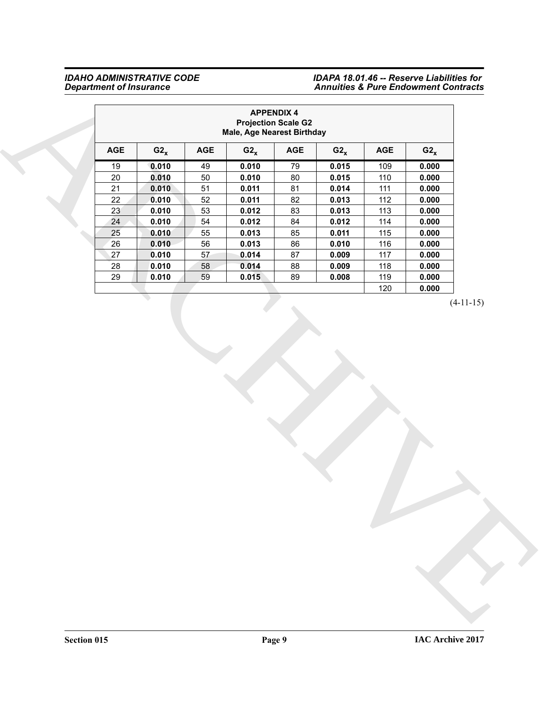|        |          |            | Male, Age Nearest Birthday | <b>APPENDIX 4</b><br><b>Projection Scale G2</b> |          |            |          |  |
|--------|----------|------------|----------------------------|-------------------------------------------------|----------|------------|----------|--|
| AGE    | $G2_{x}$ | <b>AGE</b> | $G2_{x}$                   | <b>AGE</b>                                      | $G2_{x}$ | <b>AGE</b> | $G2_{x}$ |  |
| 19     | 0.010    | 49         | 0.010                      | 79                                              | 0.015    | 109        | 0.000    |  |
| $20\,$ | 0.010    | $50\,$     | 0.010                      | $80\,$                                          | 0.015    | 110        | 0.000    |  |
| 21     | 0.010    | 51         | 0.011                      | 81                                              | 0.014    | 111        | 0.000    |  |
| 22     | 0.010    | 52         | 0.011                      | 82                                              | 0.013    | 112        | 0.000    |  |
| 23     | 0.010    | 53         | 0.012                      | 83                                              | 0.013    | 113        | 0.000    |  |
| $24\,$ | 0.010    | 54         | 0.012                      | 84                                              | 0.012    | 114        | 0.000    |  |
| 25     | 0.010    | 55         | 0.013                      | 85                                              | 0.011    | 115        | 0.000    |  |
| 26     | 0.010    | 56         | 0.013                      | 86                                              | 0.010    | 116        | 0.000    |  |
| 27     | 0.010    | 57         | 0.014                      | 87                                              | 0.009    | 117        | 0.000    |  |
| 28     | 0.010    | 58         | 0.014                      | 88                                              | 0.009    | 118        | 0.000    |  |
| 29     | 0.010    | 59         | 0.015                      | 89                                              | 0.008    | 119        | 0.000    |  |
|        |          |            |                            |                                                 |          | 120        | 0.000    |  |
|        |          |            |                            |                                                 |          |            |          |  |
|        |          |            |                            |                                                 |          |            |          |  |